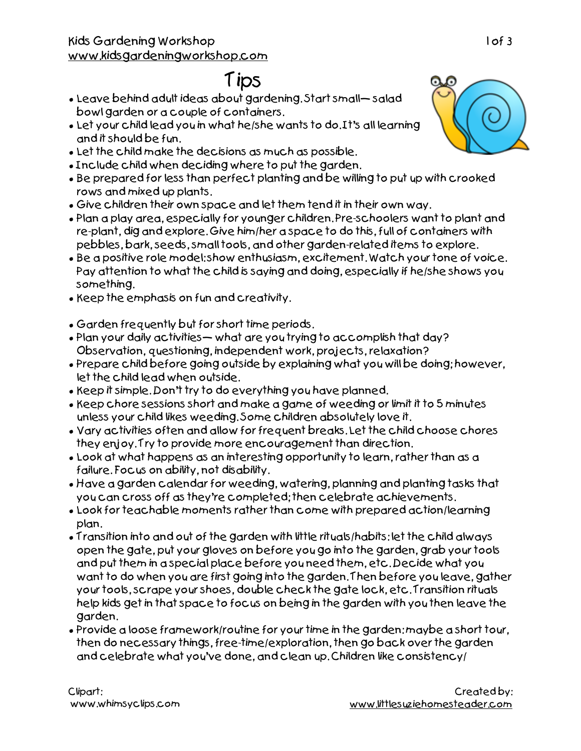## Kids Gardening Workshop [www.kidsgardeningworkshop.com](http://www.kidsgardeningworkshop.com)

## Tips

- Leave behind adult ideas about gardening. Start small— salad bowl garden or a couple of containers.
- Let your child lead you in what he/she wants to do. It's all learning and it should be fun.
- Let the child make the decisions as much as possible.
- Include child when deciding where to put the garden.
- Be prepared for less than perfect planting and be willing to put up with crooked rows and mixed up plants.
- Give children their own space and let them tend it in their own way.
- Plan a play area, especially for younger children. Pre-schoolers want to plant and re-plant, dig and explore. Give him/her a space to do this, full of containers with pebbles, bark, seeds, small tools, and other garden-related items to explore.
- Be a positive role model: show enthusiasm, excitement. Watch your tone of voice. Pay attention to what the child is saying and doing, especially if he/she shows you something.
- Keep the emphasis on fun and creativity.
- Garden frequently but for short time periods.
- Plan your daily activities— what are you trying to accomplish that day? Observation, questioning, independent work, projects, relaxation?
- Prepare child before going outside by explaining what you will be doing; however, let the child lead when outside.
- Keep it simple. Don't try to do everything you have planned.
- Keep chore sessions short and make a game of weeding or limit it to 5 minutes unless your child likes weeding. Some children absolutely love it.
- Vary activities often and allow for frequent breaks. Let the child choose chores they enjoy. Try to provide more encouragement than direction.
- Look at what happens as an interesting opportunity to learn, rather than as a failure. Focus on ability, not disability.
- Have a garden calendar for weeding, watering, planning and planting tasks that you can cross off as they're completed; then celebrate achievements.
- Look for teachable moments rather than come with prepared action/learning plan.
- Transition into and out of the garden with little rituals/habits: let the child always open the gate, put your gloves on before you go into the garden, grab your tools and put them in a special place before you need them, etc. Decide what you want to do when you are first going into the garden. Then before you leave, gather your tools, scrape your shoes, double check the gate lock, etc. Transition rituals help kids get in that space to focus on being in the garden with you then leave the garden.
- Provide a loose framework/routine for your time in the garden: maybe a short tour, then do necessary things, free-time/exploration, then go back over the garden and celebrate what you've done, and clean up. Children like consistency/

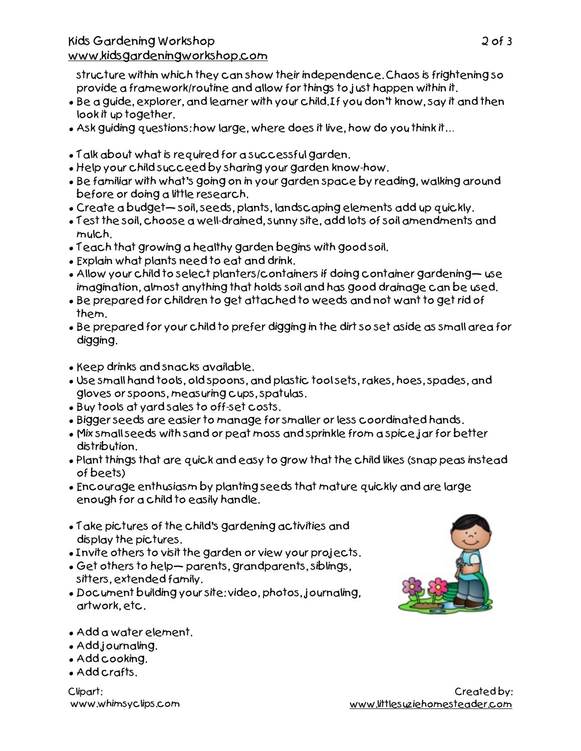structure within which they can show their independence. Chaos is frightening so provide a framework/routine and allow for things to just happen within it.

- Be a guide, explorer, and learner with your child. If you don't know, say it and then look it up together.
- Ask guiding questions: how large, where does it live, how do you think it…
- Talk about what is required for a successful garden.
- Help your child succeed by sharing your garden know-how.
- Be familiar with what's going on in your garden space by reading, walking around before or doing a little research.
- Create a budget— soil, seeds, plants, landscaping elements add up quickly.
- Test the soil, choose a well-drained, sunny site, add lots of soil amendments and mulch.
- Teach that growing a healthy garden begins with good soil.
- Explain what plants need to eat and drink.
- Allow your child to select planters/containers if doing container gardening— use imagination, almost anything that holds soil and has good drainage can be used.
- Be prepared for children to get attached to weeds and not want to get rid of them.
- Be prepared for your child to prefer digging in the dirt so set aside as small area for digging.
- Keep drinks and snacks available.
- Use small hand tools, old spoons, and plastic tool sets, rakes, hoes, spades, and gloves or spoons, measuring cups, spatulas.
- Buy tools at yard sales to off-set costs.
- Bigger seeds are easier to manage for smaller or less coordinated hands.
- Mix small seeds with sand or peat moss and sprinkle from a spice jar for better distribution.
- Plant things that are quick and easy to grow that the child likes (snap peas instead of beets)
- Encourage enthusiasm by planting seeds that mature quickly and are large enough for a child to easily handle.
- Take pictures of the child's gardening activities and display the pictures.
- Invite others to visit the garden or view your projects.
- Get others to help— parents, grandparents, siblings, sitters, extended family.
- Document building your site: video, photos, journaling, artwork, etc.



- Add a water element.
- Add journaling.
- Add cooking.
- Add crafts.

Clipart: www.whimsyclips.com